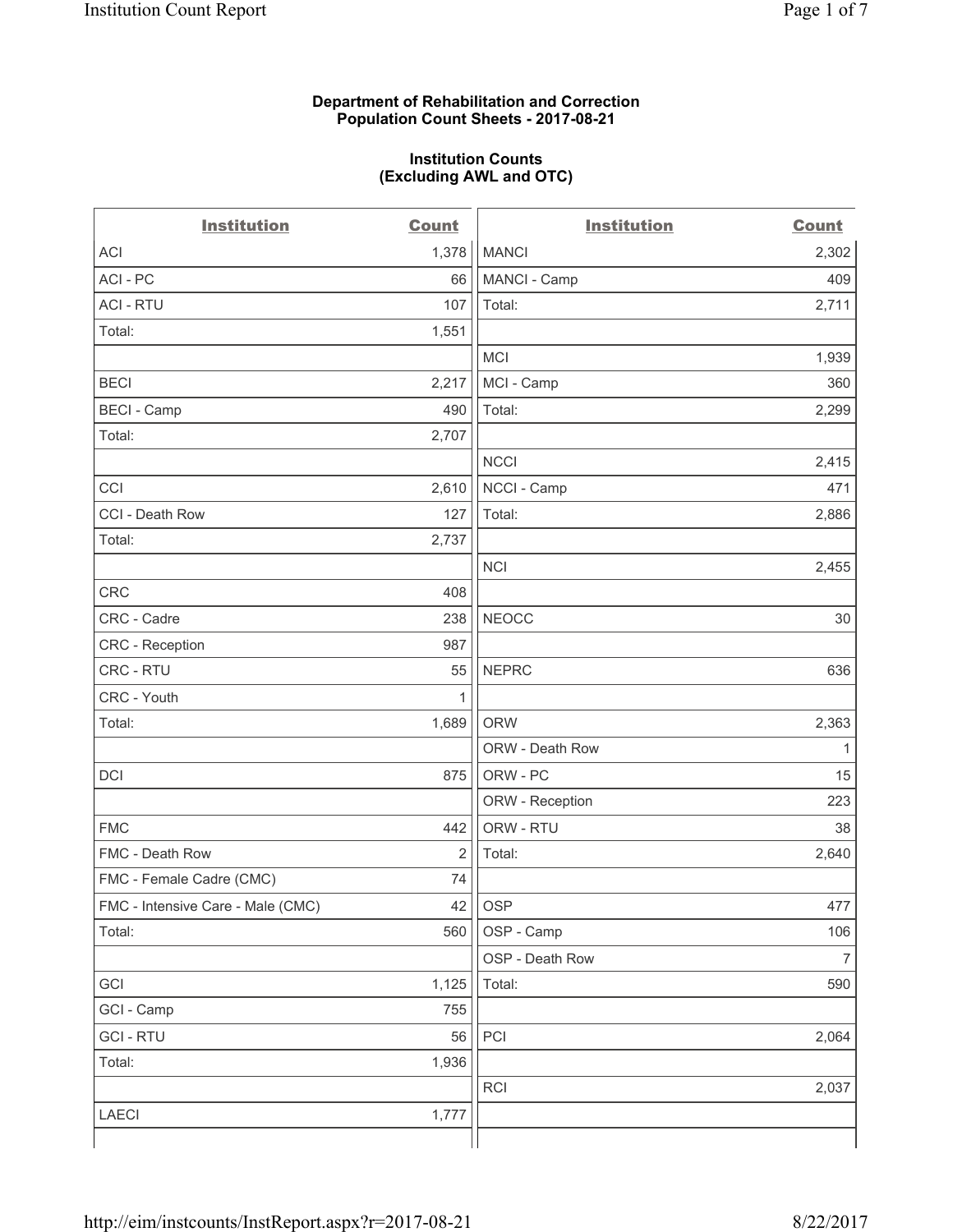### **Department of Rehabilitation and Correction Population Count Sheets - 2017-08-21**

#### **Institution Counts (Excluding AWL and OTC)**

 $-$ 

| <b>Institution</b>                | <b>Count</b> | <b>Institution</b> | <b>Count</b>   |
|-----------------------------------|--------------|--------------------|----------------|
| ACI                               | 1,378        | <b>MANCI</b>       | 2,302          |
| ACI-PC                            | 66           | MANCI - Camp       | 409            |
| <b>ACI - RTU</b>                  | 107          | Total:             | 2,711          |
| Total:                            | 1,551        |                    |                |
|                                   |              | MCI                | 1,939          |
| <b>BECI</b>                       | 2,217        | MCI - Camp         | 360            |
| <b>BECI</b> - Camp                | 490          | Total:             | 2,299          |
| Total:                            | 2,707        |                    |                |
|                                   |              | <b>NCCI</b>        | 2,415          |
| CCI                               | 2,610        | NCCI - Camp        | 471            |
| CCI - Death Row                   | 127          | Total:             | 2,886          |
| Total:                            | 2,737        |                    |                |
|                                   |              | <b>NCI</b>         | 2,455          |
| <b>CRC</b>                        | 408          |                    |                |
| CRC - Cadre                       | 238          | <b>NEOCC</b>       | 30             |
| CRC - Reception                   | 987          |                    |                |
| CRC - RTU                         | 55           | <b>NEPRC</b>       | 636            |
| CRC - Youth                       | 1            |                    |                |
| Total:                            | 1,689        | <b>ORW</b>         | 2,363          |
|                                   |              | ORW - Death Row    | 1              |
| DCI                               | 875          | ORW - PC           | 15             |
|                                   |              | ORW - Reception    | 223            |
| <b>FMC</b>                        | 442          | ORW - RTU          | 38             |
| FMC - Death Row                   | 2            | Total:             | 2,640          |
| FMC - Female Cadre (CMC)          | 74           |                    |                |
| FMC - Intensive Care - Male (CMC) | 42           | <b>OSP</b>         | 477            |
| Total:                            | 560          | OSP - Camp         | 106            |
|                                   |              | OSP - Death Row    | $\overline{7}$ |
| GCI                               | 1,125        | Total:             | 590            |
| GCI - Camp                        | 755          |                    |                |
| <b>GCI-RTU</b>                    | 56           | PCI                | 2,064          |
| Total:                            | 1,936        |                    |                |
|                                   |              | <b>RCI</b>         | 2,037          |
| LAECI                             | 1,777        |                    |                |
|                                   |              |                    |                |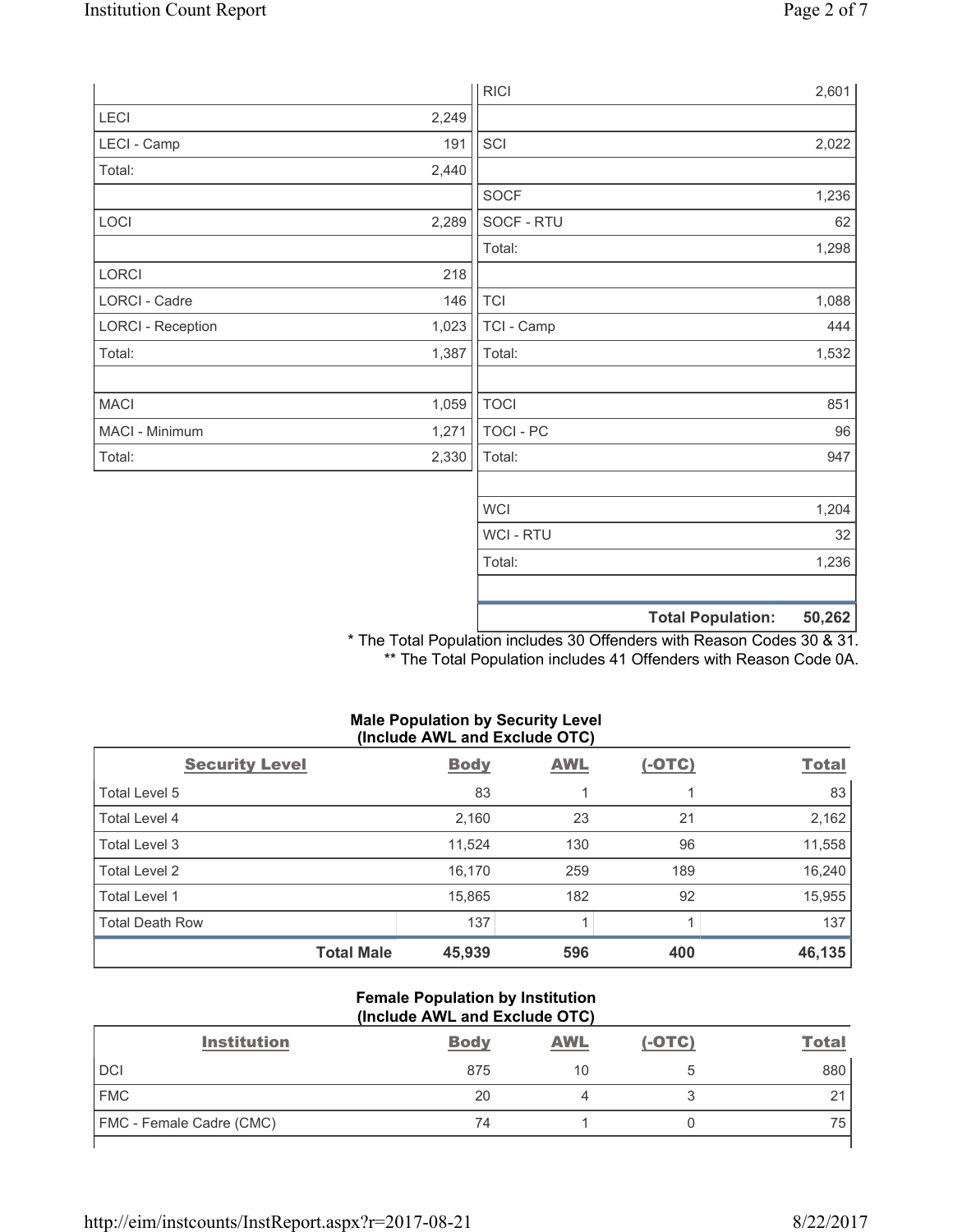|                          |       | <b>RICI</b> | 2,601                              |
|--------------------------|-------|-------------|------------------------------------|
| LECI                     | 2,249 |             |                                    |
| LECI - Camp              | 191   | SCI         | 2,022                              |
| Total:                   | 2,440 |             |                                    |
|                          |       | SOCF        | 1,236                              |
| LOCI                     | 2,289 | SOCF - RTU  | 62                                 |
|                          |       | Total:      | 1,298                              |
| LORCI                    | 218   |             |                                    |
| LORCI - Cadre            | 146   | <b>TCI</b>  | 1,088                              |
| <b>LORCI - Reception</b> | 1,023 | TCI - Camp  | 444                                |
| Total:                   | 1,387 | Total:      | 1,532                              |
|                          |       |             |                                    |
| <b>MACI</b>              | 1,059 | <b>TOCI</b> | 851                                |
| MACI - Minimum           | 1,271 | TOCI - PC   | 96                                 |
| Total:                   | 2,330 | Total:      | 947                                |
|                          |       |             |                                    |
|                          |       | <b>WCI</b>  | 1,204                              |
|                          |       | WCI - RTU   | 32                                 |
|                          |       | Total:      | 1,236                              |
|                          |       |             |                                    |
|                          |       |             | <b>Total Population:</b><br>50,262 |

\* The Total Population includes 30 Offenders with Reason Codes 30 & 31. \*\* The Total Population includes 41 Offenders with Reason Code 0A.

### **Male Population by Security Level (Include AWL and Exclude OTC)**

| <b>Security Level</b>  | <b>Body</b> | <b>AWL</b> | $(-OTC)$ | <b>Total</b> |
|------------------------|-------------|------------|----------|--------------|
| Total Level 5          | 83          |            |          | 83           |
| Total Level 4          | 2,160       | 23         | 21       | 2,162        |
| Total Level 3          | 11,524      | 130        | 96       | 11,558       |
| Total Level 2          | 16,170      | 259        | 189      | 16,240       |
| Total Level 1          | 15,865      | 182        | 92       | 15,955       |
| <b>Total Death Row</b> | 137         |            |          | 137          |
| <b>Total Male</b>      | 45,939      | 596        | 400      | 46,135       |

#### **Female Population by Institution (Include AWL and Exclude OTC)**

| <b>Institution</b>       | <b>Body</b> | <b>AWL</b> | $(-OTC)$ | <b>Total</b>  |  |  |
|--------------------------|-------------|------------|----------|---------------|--|--|
| DCI                      | 875         | 10         |          | 880           |  |  |
| <b>FMC</b>               | 20          |            |          | $\Omega$<br>∠ |  |  |
| FMC - Female Cadre (CMC) | 74          |            |          | 75            |  |  |
|                          |             |            |          |               |  |  |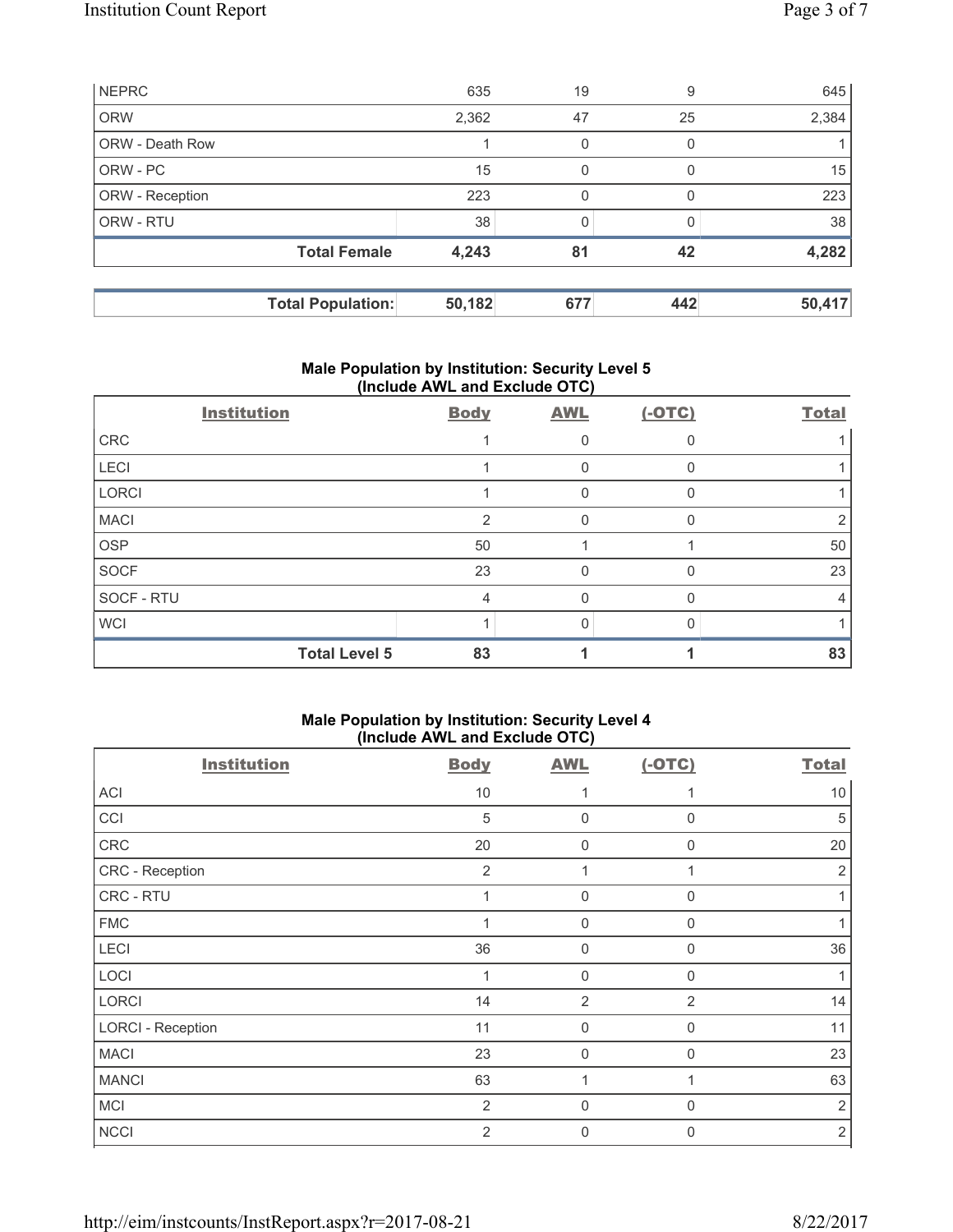|                        | <b>Total Population:</b> | 50,182 | 677 | 442 | 50,417 |
|------------------------|--------------------------|--------|-----|-----|--------|
|                        | <b>Total Female</b>      | 4,243  | 81  | 42  | 4,282  |
| ORW - RTU              |                          | 38     | 0   |     | 38     |
| ORW - Reception        |                          | 223    | 0   |     | 223    |
| ORW - PC               |                          | 15     | 0   |     | 15     |
| <b>ORW - Death Row</b> |                          |        | 0   |     |        |
| <b>ORW</b>             |                          | 2,362  | 47  | 25  | 2,384  |
| <b>NEPRC</b>           |                          | 635    | 19  | 9   | 645    |

## **Male Population by Institution: Security Level 5 (Include AWL and Exclude OTC)**

| <b>Institution</b> | <b>Body</b>                | <b>AWL</b> | $(-OTC)$ | <b>Total</b> |
|--------------------|----------------------------|------------|----------|--------------|
| CRC                |                            |            |          |              |
| LECI               |                            |            |          |              |
| LORCI              |                            | 0          |          |              |
| <b>MACI</b>        | $\mathfrak{p}$             | 0          |          |              |
| <b>OSP</b>         | 50                         |            |          | 50           |
| SOCF               | 23                         | 0          |          | 23           |
| SOCF - RTU         | 4                          |            |          |              |
| <b>WCI</b>         |                            |            |          |              |
|                    | <b>Total Level 5</b><br>83 |            |          | 83           |

# **Male Population by Institution: Security Level 4 (Include AWL and Exclude OTC)**

| <b>Institution</b>       | <b>Body</b>    | <b>AWL</b>     | $(-OTC)$       | <b>Total</b> |
|--------------------------|----------------|----------------|----------------|--------------|
| <b>ACI</b>               | 10             |                |                | 10           |
| CCI                      | $\sqrt{5}$     | 0              | $\mathbf 0$    | 5            |
| CRC                      | 20             | 0              | $\Omega$       | 20           |
| CRC - Reception          | $\overline{2}$ |                |                | 2            |
| CRC - RTU                | 1              | $\mathbf 0$    | $\mathbf 0$    |              |
| <b>FMC</b>               |                | $\mathbf 0$    | $\mathbf 0$    |              |
| LECI                     | 36             | $\mathbf 0$    | $\mathbf 0$    | 36           |
| LOCI                     | 1              | $\mathbf 0$    | $\mathbf 0$    |              |
| LORCI                    | 14             | $\overline{2}$ | $\overline{2}$ | 14           |
| <b>LORCI - Reception</b> | 11             | $\mathbf 0$    | $\mathbf 0$    | 11           |
| <b>MACI</b>              | 23             | $\mathbf 0$    | $\Omega$       | 23           |
| <b>MANCI</b>             | 63             | и              |                | 63           |
| <b>MCI</b>               | $\overline{2}$ | $\mathbf 0$    | $\Omega$       | 2            |
| <b>NCCI</b>              | $\overline{2}$ | 0              | $\Omega$       | $\sqrt{2}$   |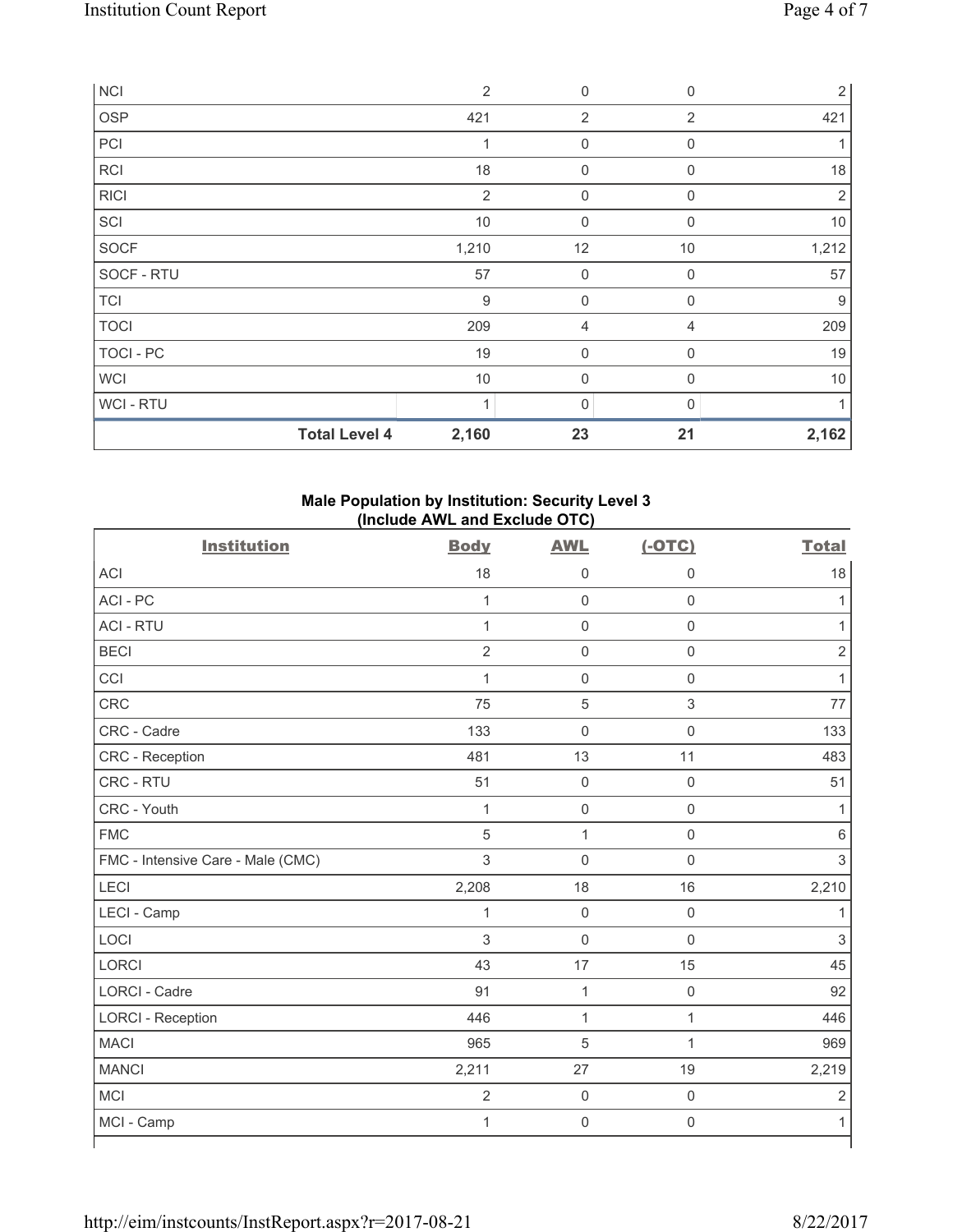| <b>NCI</b>       |                      | $\overline{2}$   | $\mathbf 0$    | $\mathsf{0}$   | $\sqrt{2}$     |
|------------------|----------------------|------------------|----------------|----------------|----------------|
| OSP              |                      | 421              | $\overline{2}$ | $\overline{2}$ | 421            |
| PCI              |                      | 1                | 0              | 0              | 1              |
| RCI              |                      | 18               | $\mathbf 0$    | $\Omega$       | 18             |
| <b>RICI</b>      |                      | $\overline{2}$   | $\mathbf 0$    | 0              | $\overline{2}$ |
| SCI              |                      | $10$             | $\mathbf 0$    | $\mathbf 0$    | 10             |
| SOCF             |                      | 1,210            | 12             | 10             | 1,212          |
| SOCF - RTU       |                      | 57               | $\mathbf 0$    | $\mathbf 0$    | 57             |
| <b>TCI</b>       |                      | $\boldsymbol{9}$ | $\mathbf 0$    | 0              | 9              |
| <b>TOCI</b>      |                      | 209              | 4              | 4              | 209            |
| <b>TOCI - PC</b> |                      | 19               | $\mathbf 0$    | $\mathbf 0$    | 19             |
| <b>WCI</b>       |                      | 10               | 0              | 0              | 10             |
| WCI - RTU        |                      | $\overline{A}$   | $\mathbf{0}$   | U              | 1              |
|                  | <b>Total Level 4</b> | 2,160            | 23             | 21             | 2,162          |

# **Male Population by Institution: Security Level 3 (Include AWL and Exclude OTC)**

| <b>Institution</b>                | <b>Body</b>    | <b>AWL</b>          | $(-OTC)$    | <b>Total</b>   |
|-----------------------------------|----------------|---------------------|-------------|----------------|
| <b>ACI</b>                        | 18             | $\mathsf{0}$        | $\mathbf 0$ | 18             |
| ACI-PC                            | $\mathbf{1}$   | $\mathsf 0$         | $\mathsf 0$ | $\mathbf 1$    |
| <b>ACI - RTU</b>                  | $\mathbf{1}$   | $\mathsf 0$         | $\mathsf 0$ | $\mathbf{1}$   |
| <b>BECI</b>                       | $\overline{2}$ | $\mathsf{O}\xspace$ | $\mathsf 0$ | $\overline{2}$ |
| CCI                               | $\mathbf{1}$   | $\mathbf 0$         | $\mathsf 0$ | $\mathbf{1}$   |
| <b>CRC</b>                        | 75             | $\overline{5}$      | $\mathsf 3$ | 77             |
| CRC - Cadre                       | 133            | $\mathsf{O}\xspace$ | $\mathsf 0$ | 133            |
| CRC - Reception                   | 481            | 13                  | 11          | 483            |
| CRC - RTU                         | 51             | $\mathsf{O}\xspace$ | $\mathbf 0$ | 51             |
| CRC - Youth                       | $\mathbf{1}$   | $\mathsf{O}\xspace$ | $\mathsf 0$ | 1              |
| <b>FMC</b>                        | 5              | $\mathbf 1$         | $\mathsf 0$ | 6              |
| FMC - Intensive Care - Male (CMC) | $\mathfrak{S}$ | $\mathbf 0$         | $\mathsf 0$ | $\mathsf 3$    |
| LECI                              | 2,208          | 18                  | 16          | 2,210          |
| LECI - Camp                       | $\mathbf{1}$   | $\mathsf 0$         | $\mathbf 0$ | 1              |
| LOCI                              | 3              | $\mathbf 0$         | $\mathbf 0$ | $\mathfrak{S}$ |
| <b>LORCI</b>                      | 43             | 17                  | 15          | 45             |
| <b>LORCI - Cadre</b>              | 91             | $\mathbf{1}$        | $\mathsf 0$ | 92             |
| <b>LORCI - Reception</b>          | 446            | $\mathbf{1}$        | 1           | 446            |
| <b>MACI</b>                       | 965            | 5                   | 1           | 969            |
| <b>MANCI</b>                      | 2,211          | 27                  | 19          | 2,219          |
| MCI                               | $\overline{2}$ | $\mathbf 0$         | $\mathsf 0$ | $\overline{2}$ |
| MCI - Camp                        | $\mathbf{1}$   | $\mathbf 0$         | $\mathsf 0$ | 1              |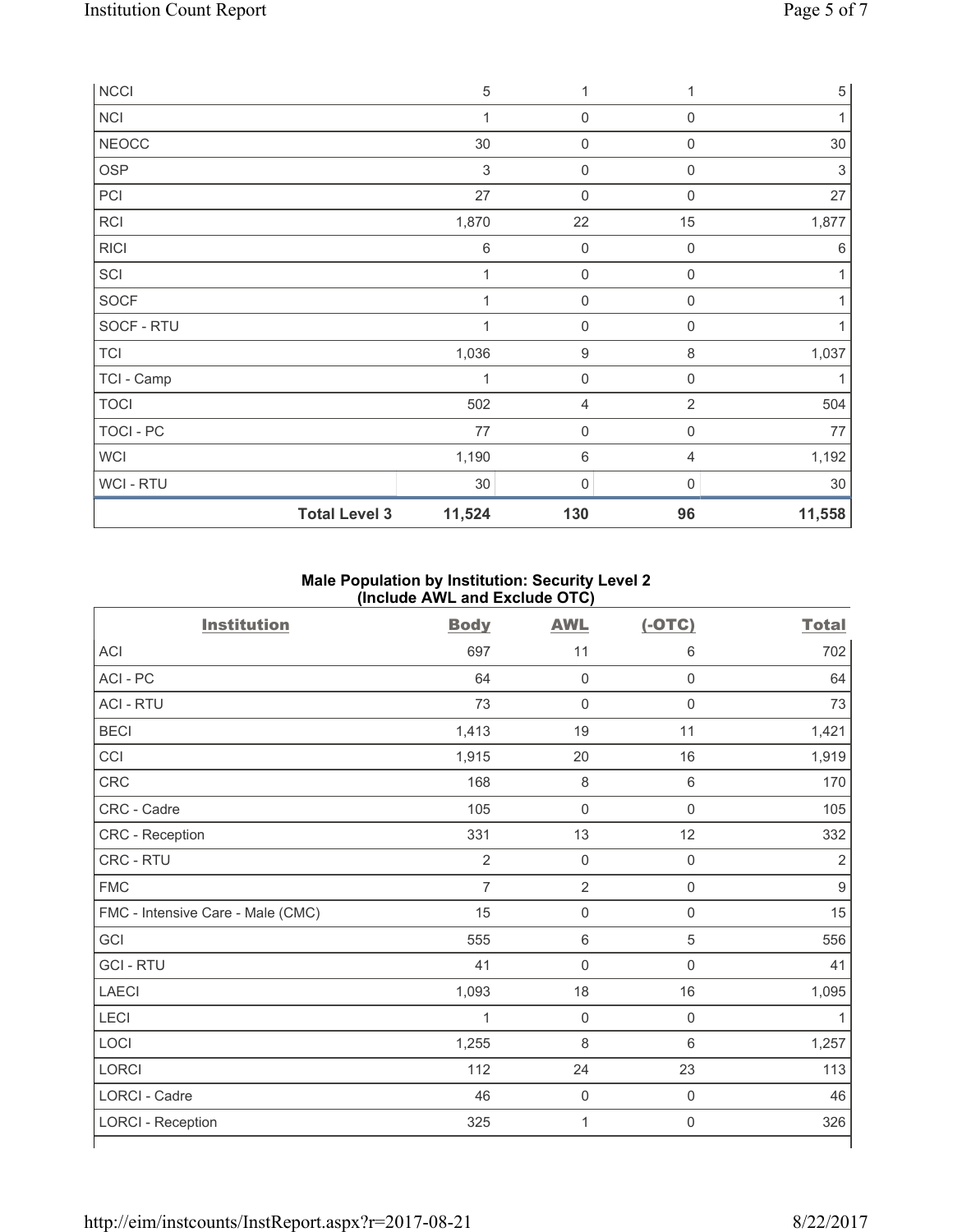| <b>NCCI</b>      |                      | $\sqrt{5}$   | 1           | 1              | 5      |
|------------------|----------------------|--------------|-------------|----------------|--------|
| <b>NCI</b>       |                      | $\mathbf 1$  | 0           | $\mathbf 0$    |        |
| <b>NEOCC</b>     |                      | 30           | $\mathbf 0$ | $\mathsf 0$    | 30     |
| <b>OSP</b>       |                      | 3            | $\mathbf 0$ | $\mathbf 0$    | 3      |
| PCI              |                      | 27           | $\mathbf 0$ | $\Omega$       | 27     |
| <b>RCI</b>       |                      | 1,870        | 22          | 15             | 1,877  |
| <b>RICI</b>      |                      | 6            | $\mathbf 0$ | $\mathbf 0$    | 6      |
| SCI              |                      | $\mathbf 1$  | $\mathbf 0$ | $\mathbf 0$    |        |
| SOCF             |                      | $\mathbf{1}$ | $\mathbf 0$ | $\mathbf 0$    |        |
| SOCF - RTU       |                      | $\mathbf 1$  | $\mathbf 0$ | $\mathbf 0$    |        |
| <b>TCI</b>       |                      | 1,036        | 9           | $\,8\,$        | 1,037  |
| TCI - Camp       |                      | 1            | $\mathbf 0$ | $\mathbf 0$    |        |
| <b>TOCI</b>      |                      | 502          | 4           | $\overline{2}$ | 504    |
| <b>TOCI - PC</b> |                      | 77           | $\mathbf 0$ | $\mathbf 0$    | 77     |
| <b>WCI</b>       |                      | 1,190        | 6           | 4              | 1,192  |
| WCI - RTU        |                      | $30\,$       | 0           | $\Omega$       | $30\,$ |
|                  | <b>Total Level 3</b> | 11,524       | 130         | 96             | 11,558 |

# **Male Population by Institution: Security Level 2 (Include AWL and Exclude OTC)**

| <b>Institution</b>                | <b>Body</b>    | <b>AWL</b>     | $(-OTC)$            | <b>Total</b>   |
|-----------------------------------|----------------|----------------|---------------------|----------------|
| <b>ACI</b>                        | 697            | 11             | 6                   | 702            |
| ACI - PC                          | 64             | $\mathbf 0$    | $\mathsf{O}\xspace$ | 64             |
| <b>ACI - RTU</b>                  | 73             | $\mathbf 0$    | $\mathsf 0$         | 73             |
| <b>BECI</b>                       | 1,413          | 19             | 11                  | 1,421          |
| CCI                               | 1,915          | 20             | 16                  | 1,919          |
| CRC                               | 168            | 8              | $\,6\,$             | 170            |
| CRC - Cadre                       | 105            | $\mathbf 0$    | $\mathbf 0$         | 105            |
| CRC - Reception                   | 331            | 13             | 12                  | 332            |
| CRC - RTU                         | $\overline{2}$ | $\mathbf 0$    | $\mathbf 0$         | $\overline{2}$ |
| <b>FMC</b>                        | $\overline{7}$ | $\overline{2}$ | $\mathsf{O}\xspace$ | 9              |
| FMC - Intensive Care - Male (CMC) | 15             | $\mathbf 0$    | $\mathsf 0$         | 15             |
| GCI                               | 555            | 6              | 5                   | 556            |
| <b>GCI-RTU</b>                    | 41             | $\mathbf 0$    | $\mathsf{O}\xspace$ | 41             |
| <b>LAECI</b>                      | 1,093          | 18             | 16                  | 1,095          |
| LECI                              | 1              | $\mathbf 0$    | $\mathsf{O}\xspace$ | 1              |
| LOCI                              | 1,255          | 8              | 6                   | 1,257          |
| LORCI                             | 112            | 24             | 23                  | 113            |
| LORCI - Cadre                     | 46             | $\mathbf 0$    | $\mathsf{O}\xspace$ | 46             |
| <b>LORCI - Reception</b>          | 325            | 1              | $\mathbf 0$         | 326            |
|                                   |                |                |                     |                |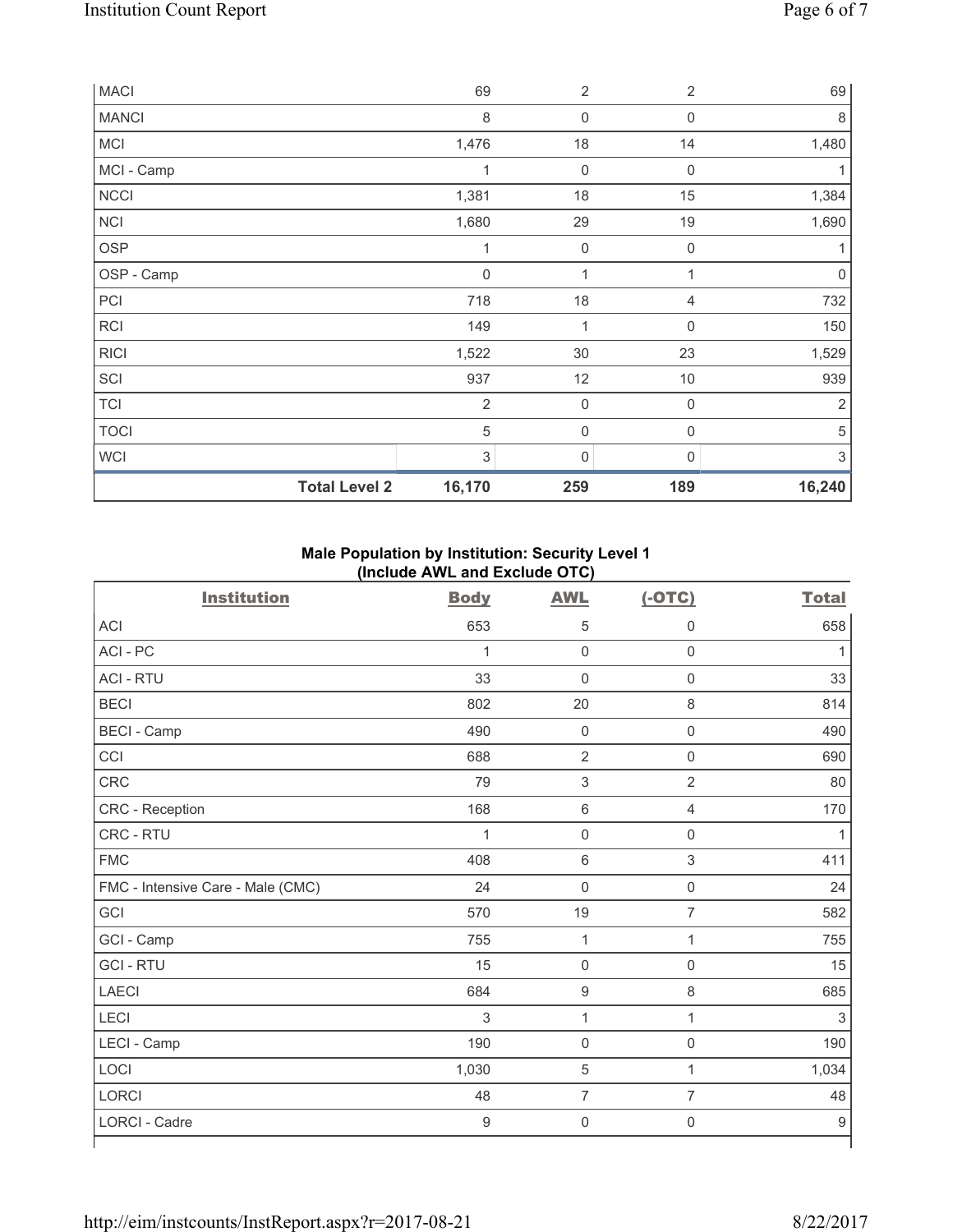| <b>MACI</b>  |                      | 69             | $\overline{2}$      | $\overline{2}$   | 69             |
|--------------|----------------------|----------------|---------------------|------------------|----------------|
| <b>MANCI</b> |                      | 8              | $\mathbf 0$         | $\boldsymbol{0}$ | 8              |
| <b>MCI</b>   |                      | 1,476          | $18$                | 14               | 1,480          |
| MCI - Camp   |                      | 1              | $\mathsf{O}\xspace$ | $\mathbf 0$      |                |
| <b>NCCI</b>  |                      | 1,381          | 18                  | 15               | 1,384          |
| <b>NCI</b>   |                      | 1,680          | 29                  | 19               | 1,690          |
| <b>OSP</b>   |                      | 1              | $\mathsf{O}\xspace$ | $\mathbf 0$      |                |
| OSP - Camp   |                      | 0              | 1                   | 1                | $\mathbf 0$    |
| PCI          |                      | 718            | 18                  | 4                | 732            |
| <b>RCI</b>   |                      | 149            | 1                   | $\boldsymbol{0}$ | 150            |
| <b>RICI</b>  |                      | 1,522          | 30                  | 23               | 1,529          |
| SCI          |                      | 937            | 12                  | 10               | 939            |
| <b>TCI</b>   |                      | $\overline{2}$ | $\mathsf{O}\xspace$ | $\mathbf 0$      | $\overline{2}$ |
| <b>TOCI</b>  |                      | $\sqrt{5}$     | $\mathsf{O}\xspace$ | $\mathbf 0$      | $\sqrt{5}$     |
| WCI          |                      | 3              | 0                   | $\Omega$         | 3              |
|              | <b>Total Level 2</b> | 16,170         | 259                 | 189              | 16,240         |

# **Male Population by Institution: Security Level 1 (Include AWL and Exclude OTC)**

| <br>. ,                           |             |                     |                     |                  |  |  |
|-----------------------------------|-------------|---------------------|---------------------|------------------|--|--|
| <b>Institution</b>                | <b>Body</b> | <b>AWL</b>          | $(-OTC)$            | <b>Total</b>     |  |  |
| ACI                               | 653         | 5                   | 0                   | 658              |  |  |
| ACI-PC                            | 1           | $\mathsf 0$         | $\mathsf{O}\xspace$ | $\mathbf{1}$     |  |  |
| <b>ACI - RTU</b>                  | 33          | $\mathbf 0$         | $\mathsf{O}\xspace$ | 33               |  |  |
| <b>BECI</b>                       | 802         | 20                  | 8                   | 814              |  |  |
| <b>BECI - Camp</b>                | 490         | $\mathbf 0$         | $\mathsf{O}\xspace$ | 490              |  |  |
| CCI                               | 688         | $\sqrt{2}$          | $\mathsf{O}\xspace$ | 690              |  |  |
| <b>CRC</b>                        | 79          | $\sqrt{3}$          | $\overline{2}$      | 80               |  |  |
| CRC - Reception                   | 168         | $\,6\,$             | 4                   | 170              |  |  |
| CRC - RTU                         | 1           | $\mathsf{O}\xspace$ | $\mathsf{O}\xspace$ | $\mathbf{1}$     |  |  |
| <b>FMC</b>                        | 408         | $\,6\,$             | 3                   | 411              |  |  |
| FMC - Intensive Care - Male (CMC) | 24          | $\mathbf 0$         | $\mathsf{O}\xspace$ | 24               |  |  |
| GCI                               | 570         | 19                  | $\overline{7}$      | 582              |  |  |
| GCI - Camp                        | 755         | $\mathbf 1$         | 1                   | 755              |  |  |
| <b>GCI-RTU</b>                    | 15          | $\mathbf 0$         | $\mathsf 0$         | 15               |  |  |
| <b>LAECI</b>                      | 684         | $\boldsymbol{9}$    | 8                   | 685              |  |  |
| <b>LECI</b>                       | 3           | 1                   | $\mathbf{1}$        | $\,$ 3 $\,$      |  |  |
| LECI - Camp                       | 190         | $\mathsf{O}\xspace$ | $\mathsf{O}\xspace$ | 190              |  |  |
| LOCI                              | 1,030       | 5                   | 1                   | 1,034            |  |  |
| <b>LORCI</b>                      | 48          | $\overline{7}$      | $\overline{7}$      | 48               |  |  |
| <b>LORCI - Cadre</b>              | 9           | $\mathbf 0$         | 0                   | $\boldsymbol{9}$ |  |  |
|                                   |             |                     |                     |                  |  |  |

٦